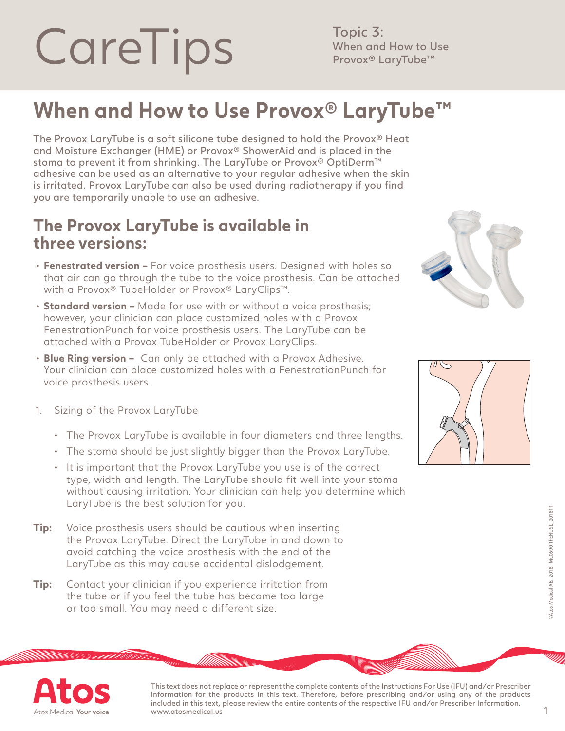## CareTips Men and How to Use When and How to Use

Topic 3:

## **When and How to Use Provox® LaryTube™**

The Provox LaryTube is a soft silicone tube designed to hold the Provox® Heat and Moisture Exchanger (HME) or Provox® ShowerAid and is placed in the stoma to prevent it from shrinking. The LaryTube or Provox® OptiDerm™ adhesive can be used as an alternative to your regular adhesive when the skin is irritated. Provox LaryTube can also be used during radiotherapy if you find you are temporarily unable to use an adhesive.

## **The Provox LaryTube is available in three versions:**

- **Fenestrated version** For voice prosthesis users. Designed with holes so that air can go through the tube to the voice prosthesis. Can be attached with a Provox® TubeHolder or Provox® LaryClips™.
- **Standard version** Made for use with or without a voice prosthesis; however, your clinician can place customized holes with a Provox FenestrationPunch for voice prosthesis users. The LaryTube can be attached with a Provox TubeHolder or Provox LaryClips.
- **Blue Ring version –** Can only be attached with a Provox Adhesive. Your clinician can place customized holes with a FenestrationPunch for voice prosthesis users.
- 1. Sizing of the Provox LaryTube
	- The Provox LaryTube is available in four diameters and three lengths.
	- The stoma should be just slightly bigger than the Provox LaryTube.
	- It is important that the Provox LaryTube you use is of the correct type, width and length. The LaryTube should fit well into your stoma without causing irritation. Your clinician can help you determine which LaryTube is the best solution for you.
- **Tip:** Voice prosthesis users should be cautious when inserting the Provox LaryTube. Direct the LaryTube in and down to avoid catching the voice prosthesis with the end of the LaryTube as this may cause accidental dislodgement.
- **Tip:** Contact your clinician if you experience irritation from the tube or if you feel the tube has become too large or too small. You may need a different size.







This text does not replace or represent the complete contents of the Instructions For Use (IFU) and/or Prescriber Information for the products in this text. Therefore, before prescribing and/or using any of the products included in this text, please review the entire contents of the respective IFU and/or Prescriber Information. www.atosmedical.us